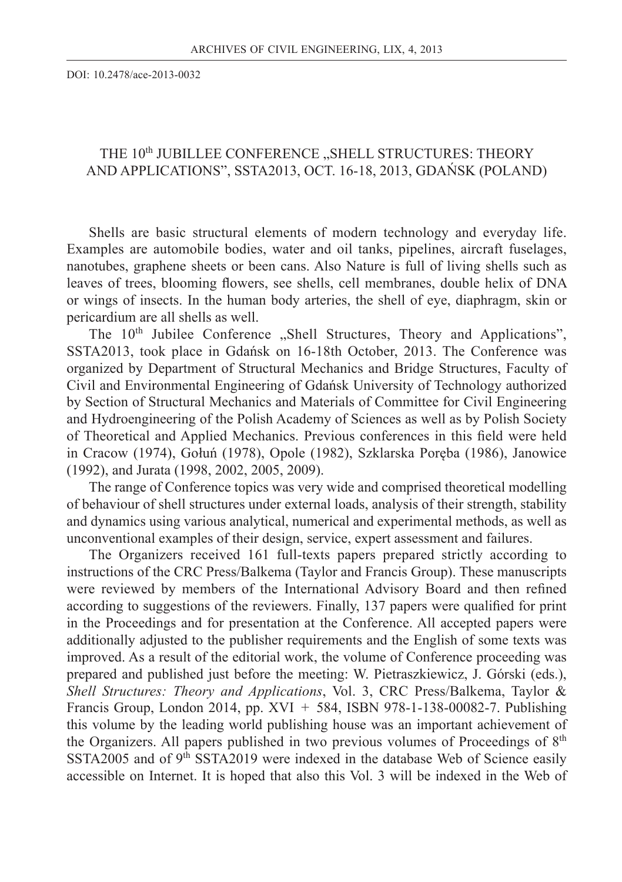DOI: 10.2478/ace-2013-0032

## THE 10<sup>th</sup> JUBILLEE CONFERENCE "SHELL STRUCTURES: THEORY AND APPLICATIONS", SSTA2013, OCT. 16-18, 2013, GDAŃSK (POLAND)

Shells are basic structural elements of modern technology and everyday life. Examples are automobile bodies, water and oil tanks, pipelines, aircraft fuselages, nanotubes, graphene sheets or been cans. Also Nature is full of living shells such as leaves of trees, blooming flowers, see shells, cell membranes, double helix of DNA or wings of insects. In the human body arteries, the shell of eye, diaphragm, skin or pericardium are all shells as well.

The 10<sup>th</sup> Jubilee Conference "Shell Structures, Theory and Applications", SSTA2013, took place in Gdańsk on 16-18th October, 2013. The Conference was organized by Department of Structural Mechanics and Bridge Structures, Faculty of Civil and Environmental Engineering of Gdańsk University of Technology authorized by Section of Structural Mechanics and Materials of Committee for Civil Engineering and Hydroengineering of the Polish Academy of Sciences as well as by Polish Society of Theoretical and Applied Mechanics. Previous conferences in this field were held in Cracow (1974), Gołuń (1978), Opole (1982), Szklarska Poręba (1986), Janowice (1992), and Jurata (1998, 2002, 2005, 2009).

The range of Conference topics was very wide and comprised theoretical modelling of behaviour of shell structures under external loads, analysis of their strength, stability and dynamics using various analytical, numerical and experimental methods, as well as unconventional examples of their design, service, expert assessment and failures.

The Organizers received 161 full-texts papers prepared strictly according to instructions of the CRC Press/Balkema (Taylor and Francis Group). These manuscripts were reviewed by members of the International Advisory Board and then refined according to suggestions of the reviewers. Finally, 137 papers were qualified for print in the Proceedings and for presentation at the Conference. All accepted papers were additionally adjusted to the publisher requirements and the English of some texts was improved. As a result of the editorial work, the volume of Conference proceeding was prepared and published just before the meeting: W. Pietraszkiewicz, J. Górski (eds.), *Shell Structures: Theory and Applications*, Vol. 3, CRC Press/Balkema, Taylor & Francis Group, London 2014, pp. XVI + 584, ISBN 978-1-138-00082-7. Publishing this volume by the leading world publishing house was an important achievement of the Organizers. All papers published in two previous volumes of Proceedings of 8<sup>th</sup> SSTA2005 and of  $9<sup>th</sup>$  SSTA2019 were indexed in the database Web of Science easily accessible on Internet. It is hoped that also this Vol. 3 will be indexed in the Web of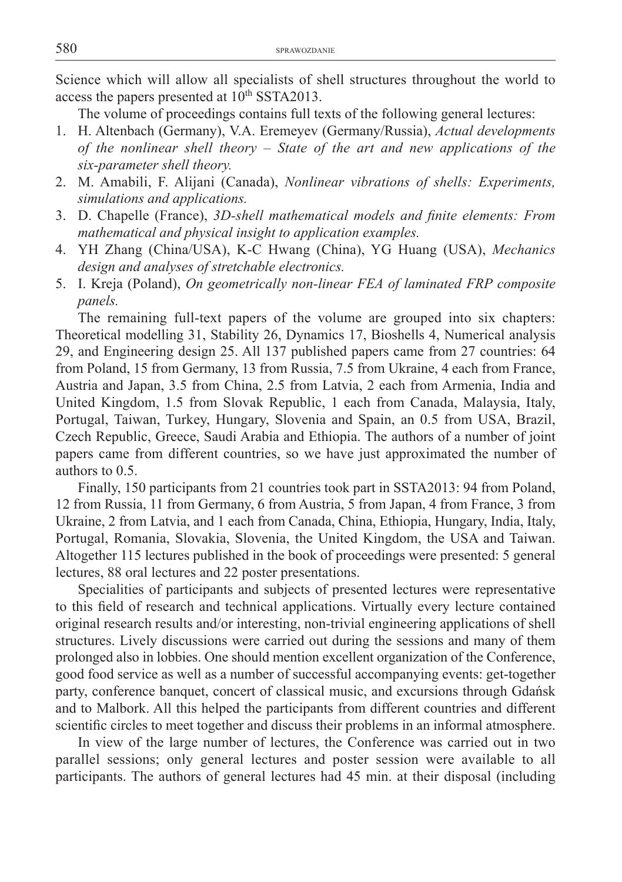Science which will allow all specialists of shell structures throughout the world to access the papers presented at  $10^{th}$  SSTA2013.

The volume of proceedings contains full texts of the following general lectures:

- 1. H. Altenbach (Germany), V.A. Eremeyev (Germany/Russia), *Actual developments of the nonlinear shell theory – State of the art and new applications of the six-parameter shell theory.*
- 2. M. Amabili, F. Alijani (Canada), *Nonlinear vibrations of shells: Experiments, simulations and applications.*
- 3. D. Chapelle (France), 3D-shell mathematical models and finite elements: From *mathematical and physical insight to application examples.*
- 4. YH Zhang (China/USA), K-C Hwang (China), YG Huang (USA), *Mechanics design and analyses of stretchable electronics.*
- 5. I. Kreja (Poland), *On geometrically non-linear FEA of laminated FRP composite panels.*

The remaining full-text papers of the volume are grouped into six chapters: Theoretical modelling 31, Stability 26, Dynamics 17, Bioshells 4, Numerical analysis 29, and Engineering design 25. All 137 published papers came from 27 countries: 64 from Poland, 15 from Germany, 13 from Russia, 7.5 from Ukraine, 4 each from France, Austria and Japan, 3.5 from China, 2.5 from Latvia, 2 each from Armenia, India and United Kingdom, 1.5 from Slovak Republic, 1 each from Canada, Malaysia, Italy, Portugal, Taiwan, Turkey, Hungary, Slovenia and Spain, an 0.5 from USA, Brazil, Czech Republic, Greece, Saudi Arabia and Ethiopia. The authors of a number of joint papers came from different countries, so we have just approximated the number of authors to 0.5.

Finally, 150 participants from 21 countries took part in SSTA2013: 94 from Poland, 12 from Russia, 11 from Germany, 6 from Austria, 5 from Japan, 4 from France, 3 from Ukraine, 2 from Latvia, and 1 each from Canada, China, Ethiopia, Hungary, India, Italy, Portugal, Romania, Slovakia, Slovenia, the United Kingdom, the USA and Taiwan. Altogether 115 lectures published in the book of proceedings were presented: 5 general lectures, 88 oral lectures and 22 poster presentations.

Specialities of participants and subjects of presented lectures were representative to this field of research and technical applications. Virtually every lecture contained original research results and/or interesting, non-trivial engineering applications of shell structures. Lively discussions were carried out during the sessions and many of them prolonged also in lobbies. One should mention excellent organization of the Conference, good food service as well as a number of successful accompanying events: get-together party, conference banquet, concert of classical music, and excursions through Gdańsk and to Malbork. All this helped the participants from different countries and different scientific circles to meet together and discuss their problems in an informal atmosphere.

In view of the large number of lectures, the Conference was carried out in two parallel sessions; only general lectures and poster session were available to all participants. The authors of general lectures had 45 min. at their disposal (including